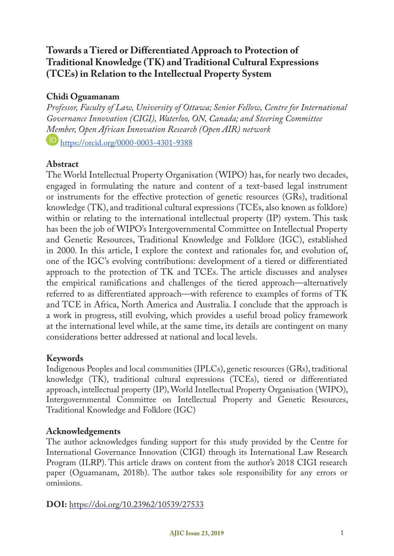# **Towards a Tiered or Differentiated Approach to Protection of Traditional Knowledge (TK) and Traditional Cultural Expressions (TCEs) in Relation to the Intellectual Property System**

## **Chidi Oguamanam**

*Professor, Faculty of Law, University of Ottawa; Senior Fellow, Centre for International Governance Innovation (CIGI), Waterloo, ON, Canada; and Steering Committee Member, Open African Innovation Research (Open AIR) network* https://orcid.org/0000-0003-4301-9388

#### **Abstract**

The World Intellectual Property Organisation (WIPO) has, for nearly two decades, engaged in formulating the nature and content of a text-based legal instrument or instruments for the effective protection of genetic resources (GRs), traditional knowledge (TK), and traditional cultural expressions (TCEs, also known as folklore) within or relating to the international intellectual property (IP) system. This task has been the job of WIPO's Intergovernmental Committee on Intellectual Property and Genetic Resources, Traditional Knowledge and Folklore (IGC), established in 2000. In this article, I explore the context and rationales for, and evolution of, one of the IGC's evolving contributions: development of a tiered or differentiated approach to the protection of TK and TCEs. The article discusses and analyses the empirical ramifications and challenges of the tiered approach—alternatively referred to as differentiated approach—with reference to examples of forms of TK and TCE in Africa, North America and Australia. I conclude that the approach is a work in progress, still evolving, which provides a useful broad policy framework at the international level while, at the same time, its details are contingent on many considerations better addressed at national and local levels.

### **Keywords**

Indigenous Peoples and local communities (IPLCs), genetic resources (GRs), traditional knowledge (TK), traditional cultural expressions (TCEs), tiered or differentiated approach, intellectual property (IP), World Intellectual Property Organisation (WIPO), Intergovernmental Committee on Intellectual Property and Genetic Resources, Traditional Knowledge and Folklore (IGC)

#### **Acknowledgements**

The author acknowledges funding support for this study provided by the Centre for International Governance Innovation (CIGI) through its International Law Research Program (ILRP). This article draws on content from the author's 2018 CIGI research paper (Oguamanam, 2018b). The author takes sole responsibility for any errors or omissions.

**DOI:** https://doi.org/10.23962/10539/27533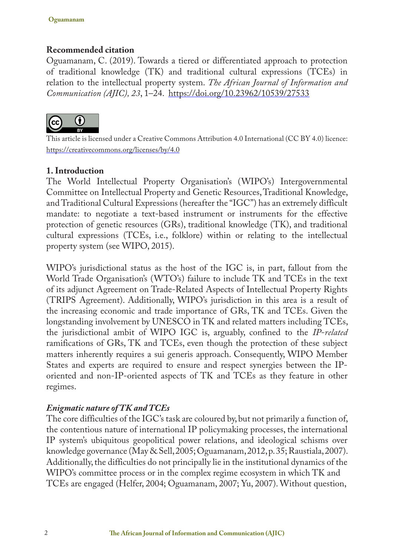## **Recommended citation**

Oguamanam, C. (2019). Towards a tiered or differentiated approach to protection of traditional knowledge (TK) and traditional cultural expressions (TCEs) in relation to the intellectual property system. *The African Journal of Information and Communication (AJIC), 23*, 1–24. https://doi.org/10.23962/10539/27533



This article is licensed under a Creative Commons Attribution 4.0 International (CC BY 4.0) licence: https://creativecommons.org/licenses/by/4.0

### **1. Introduction**

The World Intellectual Property Organisation's (WIPO's) Intergovernmental Committee on Intellectual Property and Genetic Resources, Traditional Knowledge, and Traditional Cultural Expressions (hereafter the "IGC") has an extremely difficult mandate: to negotiate a text-based instrument or instruments for the effective protection of genetic resources (GRs), traditional knowledge (TK), and traditional cultural expressions (TCEs, i.e., folklore) within or relating to the intellectual property system (see WIPO, 2015).

WIPO's jurisdictional status as the host of the IGC is, in part, fallout from the World Trade Organisation's (WTO's) failure to include TK and TCEs in the text of its adjunct Agreement on Trade-Related Aspects of Intellectual Property Rights (TRIPS Agreement). Additionally, WIPO's jurisdiction in this area is a result of the increasing economic and trade importance of GRs, TK and TCEs. Given the longstanding involvement by UNESCO in TK and related matters including TCEs, the jurisdictional ambit of WIPO IGC is, arguably, confined to the *IP*-*related*  ramifications of GRs, TK and TCEs, even though the protection of these subject matters inherently requires a sui generis approach. Consequently, WIPO Member States and experts are required to ensure and respect synergies between the IPoriented and non-IP-oriented aspects of TK and TCEs as they feature in other regimes.

#### *Enigmatic nature of TK and TCEs*

The core difficulties of the IGC's task are coloured by, but not primarily a function of, the contentious nature of international IP policymaking processes, the international IP system's ubiquitous geopolitical power relations, and ideological schisms over knowledge governance (May & Sell, 2005; Oguamanam, 2012, p. 35; Raustiala, 2007). Additionally, the difficulties do not principally lie in the institutional dynamics of the WIPO's committee process or in the complex regime ecosystem in which TK and TCEs are engaged (Helfer, 2004; Oguamanam, 2007; Yu, 2007). Without question,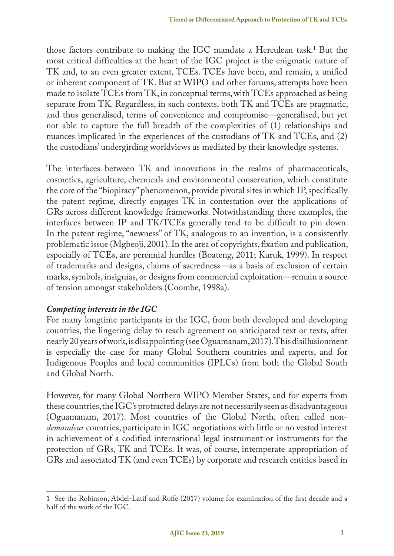those factors contribute to making the IGC mandate a Herculean task.1 But the most critical difficulties at the heart of the IGC project is the enigmatic nature of TK and, to an even greater extent, TCEs. TCEs have been, and remain, a unified or inherent component of TK. But at WIPO and other forums, attempts have been made to isolate TCEs from TK, in conceptual terms, with TCEs approached as being separate from TK. Regardless, in such contexts, both TK and TCEs are pragmatic, and thus generalised, terms of convenience and compromise—generalised, but yet not able to capture the full breadth of the complexities of (1) relationships and nuances implicated in the experiences of the custodians of TK and TCEs, and (2) the custodians' undergirding worldviews as mediated by their knowledge systems.

The interfaces between TK and innovations in the realms of pharmaceuticals, cosmetics, agriculture, chemicals and environmental conservation, which constitute the core of the "biopiracy" phenomenon, provide pivotal sites in which IP, specifically the patent regime, directly engages TK in contestation over the applications of GRs across different knowledge frameworks. Notwithstanding these examples, the interfaces between IP and TK/TCEs generally tend to be difficult to pin down. In the patent regime, "newness" of TK, analogous to an invention, is a consistently problematic issue (Mgbeoji, 2001). In the area of copyrights, fixation and publication, especially of TCEs, are perennial hurdles (Boateng, 2011; Kuruk, 1999). In respect of trademarks and designs, claims of sacredness—as a basis of exclusion of certain marks, symbols, insignias, or designs from commercial exploitation—remain a source of tension amongst stakeholders (Coombe, 1998a).

### *Competing interests in the IGC*

For many longtime participants in the IGC, from both developed and developing countries, the lingering delay to reach agreement on anticipated text or texts, after nearly 20 years of work, is disappointing (see Oguamanam, 2017). This disillusionment is especially the case for many Global Southern countries and experts, and for Indigenous Peoples and local communities (IPLCs) from both the Global South and Global North.

However, for many Global Northern WIPO Member States, and for experts from these countries, the IGC's protracted delays are not necessarily seen as disadvantageous (Oguamanam, 2017). Most countries of the Global North, often called non*demandeur* countries, participate in IGC negotiations with little or no vested interest in achievement of a codified international legal instrument or instruments for the protection of GRs, TK and TCEs. It was, of course, intemperate appropriation of GRs and associated TK (and even TCEs) by corporate and research entities based in

<sup>1</sup> See the Robinson, Abdel-Latif and Roffe (2017) volume for examination of the first decade and a half of the work of the IGC.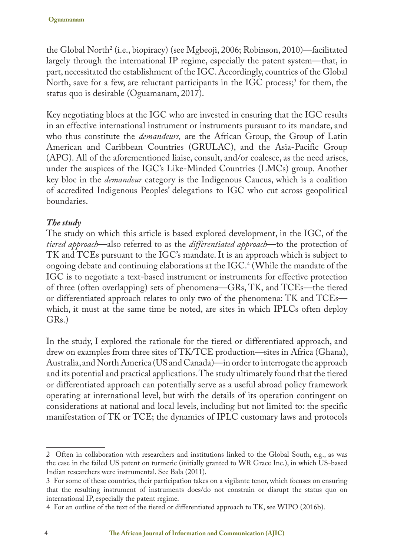the Global North<sup>2</sup> (i.e., biopiracy) (see Mgbeoji, 2006; Robinson, 2010)—facilitated largely through the international IP regime, especially the patent system—that, in part, necessitated the establishment of the IGC. Accordingly, countries of the Global North, save for a few, are reluctant participants in the IGC process;<sup>3</sup> for them, the status quo is desirable (Oguamanam, 2017).

Key negotiating blocs at the IGC who are invested in ensuring that the IGC results in an effective international instrument or instruments pursuant to its mandate, and who thus constitute the *demandeurs,* are the African Group, the Group of Latin American and Caribbean Countries (GRULAC), and the Asia-Pacific Group (APG). All of the aforementioned liaise, consult, and/or coalesce, as the need arises, under the auspices of the IGC's Like-Minded Countries (LMCs) group. Another key bloc in the *demandeur* category is the Indigenous Caucus, which is a coalition of accredited Indigenous Peoples' delegations to IGC who cut across geopolitical boundaries.

#### *The study*

The study on which this article is based explored development, in the IGC, of the *tiered approach*—also referred to as the *differentiated approach*—to the protection of TK and TCEs pursuant to the IGC's mandate. It is an approach which is subject to ongoing debate and continuing elaborations at the IGC.4 (While the mandate of the IGC is to negotiate a text-based instrument or instruments for effective protection of three (often overlapping) sets of phenomena—GRs, TK, and TCEs—the tiered or differentiated approach relates to only two of the phenomena: TK and TCEs which, it must at the same time be noted, are sites in which IPLCs often deploy GRs.)

In the study, I explored the rationale for the tiered or differentiated approach, and drew on examples from three sites of TK/TCE production—sites in Africa (Ghana), Australia, and North America (US and Canada)—in order to interrogate the approach and its potential and practical applications. The study ultimately found that the tiered or differentiated approach can potentially serve as a useful abroad policy framework operating at international level, but with the details of its operation contingent on considerations at national and local levels, including but not limited to: the specific manifestation of TK or TCE; the dynamics of IPLC customary laws and protocols

<sup>2</sup> Often in collaboration with researchers and institutions linked to the Global South, e.g., as was the case in the failed US patent on turmeric (initially granted to WR Grace Inc.), in which US-based Indian researchers were instrumental. See Bala (2011).

<sup>3</sup> For some of these countries, their participation takes on a vigilante tenor, which focuses on ensuring that the resulting instrument of instruments does/do not constrain or disrupt the status quo on international IP, especially the patent regime.

<sup>4</sup> For an outline of the text of the tiered or differentiated approach to TK, see WIPO (2016b).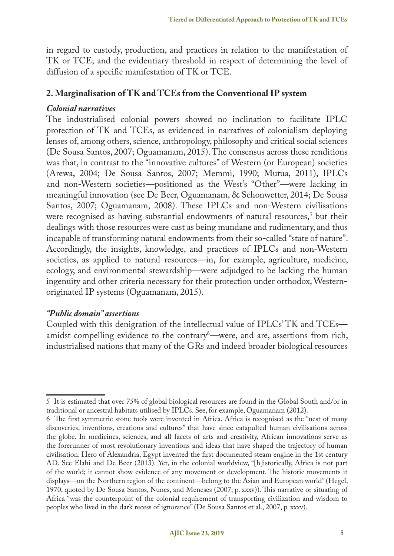in regard to custody, production, and practices in relation to the manifestation of TK or TCE; and the evidentiary threshold in respect of determining the level of diffusion of a specific manifestation of TK or TCE.

#### **2. Marginalisation of TK and TCEs from the Conventional IP system**

#### *Colonial narratives*

The industrialised colonial powers showed no inclination to facilitate IPLC protection of TK and TCEs, as evidenced in narratives of colonialism deploying lenses of, among others, science, anthropology, philosophy and critical social sciences (De Sousa Santos, 2007; Oguamanam, 2015). The consensus across these renditions was that, in contrast to the "innovative cultures" of Western (or European) societies (Arewa, 2004; De Sousa Santos, 2007; Memmi, 1990; Mutua, 2011), IPLCs and non-Western societies—positioned as the West's "Other"—were lacking in meaningful innovation (see De Beer, Oguamanam, & Schonwetter, 2014; De Sousa Santos, 2007; Oguamanam, 2008). These IPLCs and non-Western civilisations were recognised as having substantial endowments of natural resources,<sup>5</sup> but their dealings with those resources were cast as being mundane and rudimentary, and thus incapable of transforming natural endowments from their so-called "state of nature". Accordingly, the insights, knowledge, and practices of IPLCs and non-Western societies, as applied to natural resources—in, for example, agriculture, medicine, ecology, and environmental stewardship—were adjudged to be lacking the human ingenuity and other criteria necessary for their protection under orthodox, Westernoriginated IP systems (Oguamanam, 2015).

#### *"Public domain" assertions*

Coupled with this denigration of the intellectual value of IPLCs' TK and TCEs amidst compelling evidence to the contrary<sup>6</sup>—were, and are, assertions from rich, industrialised nations that many of the GRs and indeed broader biological resources

<sup>5</sup> It is estimated that over 75% of global biological resources are found in the Global South and/or in traditional or ancestral habitats utilised by IPLCs. See, for example, Oguamanam (2012).

<sup>6</sup> The first symmetric stone tools were invented in Africa. Africa is recognised as the "nest of many discoveries, inventions, creations and cultures" that have since catapulted human civilisations across the globe. In medicines, sciences, and all facets of arts and creativity, African innovations serve as the forerunner of most revolutionary inventions and ideas that have shaped the trajectory of human civilisation. Hero of Alexandria, Egypt invented the first documented steam engine in the 1st century AD. See Elahi and De Beer (2013)*.* Yet, in the colonial worldview, "[h]istorically, Africa is not part of the world; it cannot show evidence of any movement or development. The historic movements it displays—on the Northern region of the continent—belong to the Asian and European world" (Hegel, 1970, quoted by De Sousa Santos, Nunes, and Meneses (2007, p. xxxv)). This narrative or situating of Africa "was the counterpoint of the colonial requirement of transporting civilization and wisdom to peoples who lived in the dark recess of ignorance" (De Sousa Santos et al., 2007, p. xxxv).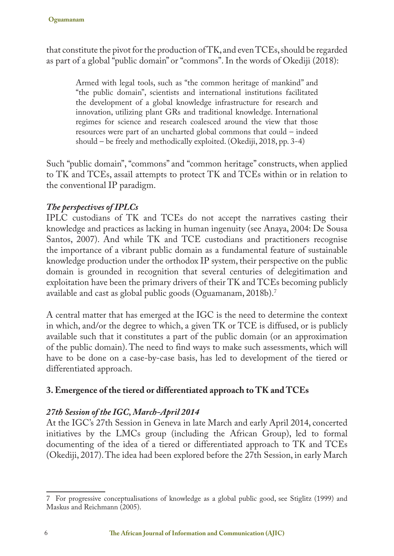that constitute the pivot for the production of TK, and even TCEs, should be regarded as part of a global "public domain" or "commons". In the words of Okediji (2018):

Armed with legal tools, such as "the common heritage of mankind" and "the public domain", scientists and international institutions facilitated the development of a global knowledge infrastructure for research and innovation, utilizing plant GRs and traditional knowledge. International regimes for science and research coalesced around the view that those resources were part of an uncharted global commons that could – indeed should – be freely and methodically exploited. (Okediji, 2018, pp. 3-4)

Such "public domain", "commons" and "common heritage" constructs, when applied to TK and TCEs, assail attempts to protect TK and TCEs within or in relation to the conventional IP paradigm.

## *The perspectives of IPLCs*

IPLC custodians of TK and TCEs do not accept the narratives casting their knowledge and practices as lacking in human ingenuity (see Anaya, 2004: De Sousa Santos, 2007). And while TK and TCE custodians and practitioners recognise the importance of a vibrant public domain as a fundamental feature of sustainable knowledge production under the orthodox IP system, their perspective on the public domain is grounded in recognition that several centuries of delegitimation and exploitation have been the primary drivers of their TK and TCEs becoming publicly available and cast as global public goods (Oguamanam, 2018b).7

A central matter that has emerged at the IGC is the need to determine the context in which, and/or the degree to which, a given TK or TCE is diffused, or is publicly available such that it constitutes a part of the public domain (or an approximation of the public domain). The need to find ways to make such assessments, which will have to be done on a case-by-case basis, has led to development of the tiered or differentiated approach.

# **3. Emergence of the tiered or differentiated approach to TK and TCEs**

### *27th Session of the IGC, March-April 2014*

At the IGC's 27th Session in Geneva in late March and early April 2014, concerted initiatives by the LMCs group (including the African Group), led to formal documenting of the idea of a tiered or differentiated approach to TK and TCEs (Okediji, 2017). The idea had been explored before the 27th Session, in early March

<sup>7</sup> For progressive conceptualisations of knowledge as a global public good, see Stiglitz (1999) and Maskus and Reichmann (2005).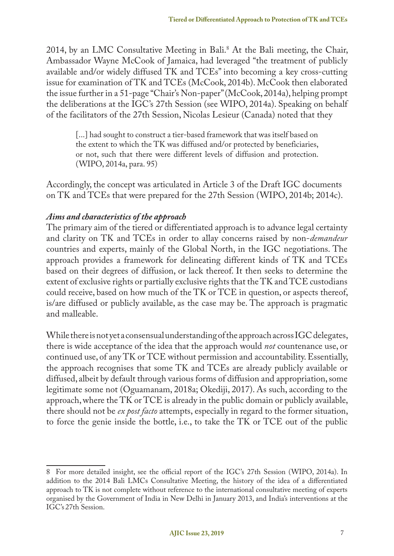2014, by an LMC Consultative Meeting in Bali.8 At the Bali meeting, the Chair, Ambassador Wayne McCook of Jamaica, had leveraged "the treatment of publicly available and/or widely diffused TK and TCEs" into becoming a key cross-cutting issue for examination of TK and TCEs (McCook, 2014b). McCook then elaborated the issue further in a 51-page "Chair's Non-paper" (McCook, 2014a), helping prompt the deliberations at the IGC's 27th Session (see WIPO, 2014a). Speaking on behalf of the facilitators of the 27th Session, Nicolas Lesieur (Canada) noted that they

[...] had sought to construct a tier-based framework that was itself based on the extent to which the TK was diffused and/or protected by beneficiaries, or not, such that there were different levels of diffusion and protection. (WIPO, 2014a, para. 95)

Accordingly, the concept was articulated in Article 3 of the Draft IGC documents on TK and TCEs that were prepared for the 27th Session (WIPO, 2014b; 2014c).

#### *Aims and characteristics of the approach*

The primary aim of the tiered or differentiated approach is to advance legal certainty and clarity on TK and TCEs in order to allay concerns raised by non-*demandeur*  countries and experts, mainly of the Global North, in the IGC negotiations. The approach provides a framework for delineating different kinds of TK and TCEs based on their degrees of diffusion, or lack thereof. It then seeks to determine the extent of exclusive rights or partially exclusive rights that the TK and TCE custodians could receive, based on how much of the TK or TCE in question, or aspects thereof, is/are diffused or publicly available, as the case may be. The approach is pragmatic and malleable.

While there is not yet a consensual understanding of the approach across IGC delegates, there is wide acceptance of the idea that the approach would *not* countenance use, or continued use, of any TK or TCE without permission and accountability. Essentially, the approach recognises that some TK and TCEs are already publicly available or diffused, albeit by default through various forms of diffusion and appropriation, some legitimate some not (Oguamanam, 2018a; Okediji, 2017). As such, according to the approach, where the TK or TCE is already in the public domain or publicly available, there should not be *ex post facto* attempts, especially in regard to the former situation, to force the genie inside the bottle, i.e., to take the TK or TCE out of the public

<sup>8</sup> For more detailed insight, see the official report of the IGC's 27th Session (WIPO, 2014a). In addition to the 2014 Bali LMCs Consultative Meeting, the history of the idea of a differentiated approach to TK is not complete without reference to the international consultative meeting of experts organised by the Government of India in New Delhi in January 2013, and India's interventions at the IGC's 27th Session.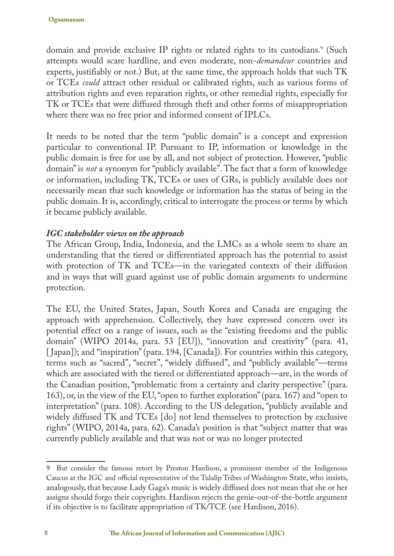domain and provide exclusive IP rights or related rights to its custodians.<sup>9</sup> (Such attempts would scare hardline, and even moderate, non-*demandeur* countries and experts, justifiably or not.) But, at the same time, the approach holds that such TK or TCEs *could* attract other residual or calibrated rights, such as various forms of attribution rights and even reparation rights, or other remedial rights, especially for TK or TCEs that were diffused through theft and other forms of misappropriation where there was no free prior and informed consent of IPLCs.

It needs to be noted that the term "public domain" is a concept and expression particular to conventional IP. Pursuant to IP, information or knowledge in the public domain is free for use by all, and not subject of protection. However, "public domain" is *not* a synonym for "publicly available". The fact that a form of knowledge or information, including TK, TCEs or uses of GRs, is publicly available does not necessarily mean that such knowledge or information has the status of being in the public domain. It is, accordingly, critical to interrogate the process or terms by which it became publicly available.

### *IGC stakeholder views on the approach*

The African Group, India, Indonesia, and the LMCs as a whole seem to share an understanding that the tiered or differentiated approach has the potential to assist with protection of TK and TCEs—in the variegated contexts of their diffusion and in ways that will guard against use of public domain arguments to undermine protection.

The EU, the United States, Japan, South Korea and Canada are engaging the approach with apprehension. Collectively, they have expressed concern over its potential effect on a range of issues, such as the "existing freedoms and the public domain" (WIPO 2014a, para. 53 [EU]), "innovation and creativity" (para. 41, [ Japan]); and "inspiration" (para. 194, [Canada]). For countries within this category, terms such as "sacred", "secret", "widely diffused", and "publicly available"—terms which are associated with the tiered or differentiated approach—are, in the words of the Canadian position, "problematic from a certainty and clarity perspective" (para. 163), or, in the view of the EU, "open to further exploration" (para. 167) and "open to interpretation" (para. 108). According to the US delegation, "publicly available and widely diffused TK and TCEs [do] not lend themselves to protection by exclusive rights" (WIPO, 2014a, para. 62). Canada's position is that "subject matter that was currently publicly available and that was not or was no longer protected

<sup>9</sup> But consider the famous retort by Preston Hardison, a prominent member of the Indigenous Caucus at the IGC and official representative of the Tulalip Tribes of Washington State, who insists, analogously, that because Lady Gaga's music is widely diffused does not mean that she or her assigns should forgo their copyrights. Hardison rejects the genie-out-of-the-bottle argument if its objective is to facilitate appropriation of TK/TCE (see Hardison, 2016).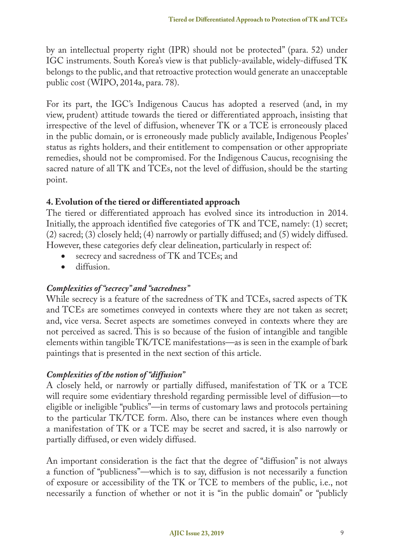by an intellectual property right (IPR) should not be protected" (para. 52) under IGC instruments. South Korea's view is that publicly-available, widely-diffused TK belongs to the public, and that retroactive protection would generate an unacceptable public cost (WIPO, 2014a, para. 78).

For its part, the IGC's Indigenous Caucus has adopted a reserved (and, in my view, prudent) attitude towards the tiered or differentiated approach, insisting that irrespective of the level of diffusion, whenever TK or a TCE is erroneously placed in the public domain, or is erroneously made publicly available, Indigenous Peoples' status as rights holders, and their entitlement to compensation or other appropriate remedies, should not be compromised. For the Indigenous Caucus, recognising the sacred nature of all TK and TCEs, not the level of diffusion, should be the starting point.

## **4. Evolution of the tiered or differentiated approach**

The tiered or differentiated approach has evolved since its introduction in 2014. Initially, the approach identified five categories of TK and TCE, namely: (1) secret; (2) sacred; (3) closely held; (4) narrowly or partially diffused; and (5) widely diffused. However, these categories defy clear delineation, particularly in respect of:

- secrecy and sacredness of TK and TCEs; and
- • diffusion.

### *Complexities of "secrecy" and "sacredness"*

While secrecy is a feature of the sacredness of TK and TCEs, sacred aspects of TK and TCEs are sometimes conveyed in contexts where they are not taken as secret; and, vice versa. Secret aspects are sometimes conveyed in contexts where they are not perceived as sacred. This is so because of the fusion of intangible and tangible elements within tangible TK/TCE manifestations—as is seen in the example of bark paintings that is presented in the next section of this article.

### *Complexities of the notion of "diffusion"*

A closely held, or narrowly or partially diffused, manifestation of TK or a TCE will require some evidentiary threshold regarding permissible level of diffusion—to eligible or ineligible "publics"—in terms of customary laws and protocols pertaining to the particular TK/TCE form. Also, there can be instances where even though a manifestation of TK or a TCE may be secret and sacred, it is also narrowly or partially diffused, or even widely diffused.

An important consideration is the fact that the degree of "diffusion" is not always a function of "publicness"—which is to say, diffusion is not necessarily a function of exposure or accessibility of the TK or TCE to members of the public, i.e., not necessarily a function of whether or not it is "in the public domain" or "publicly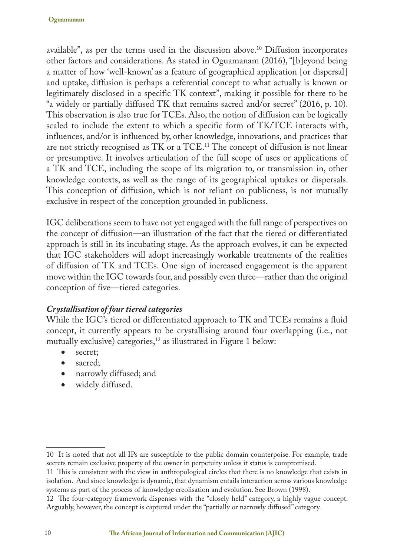available", as per the terms used in the discussion above.10 Diffusion incorporates other factors and considerations. As stated in Oguamanam (2016), "[b]eyond being a matter of how 'well-known' as a feature of geographical application [or dispersal] and uptake, diffusion is perhaps a referential concept to what actually is known or legitimately disclosed in a specific TK context", making it possible for there to be "a widely or partially diffused TK that remains sacred and/or secret" (2016, p. 10). This observation is also true for TCEs. Also, the notion of diffusion can be logically scaled to include the extent to which a specific form of TK/TCE interacts with, influences, and/or is influenced by, other knowledge, innovations, and practices that are not strictly recognised as TK or a TCE.11 The concept of diffusion is not linear or presumptive. It involves articulation of the full scope of uses or applications of a TK and TCE, including the scope of its migration to, or transmission in, other knowledge contexts, as well as the range of its geographical uptakes or dispersals. This conception of diffusion, which is not reliant on publicness, is not mutually exclusive in respect of the conception grounded in publicness.

IGC deliberations seem to have not yet engaged with the full range of perspectives on the concept of diffusion—an illustration of the fact that the tiered or differentiated approach is still in its incubating stage. As the approach evolves, it can be expected that IGC stakeholders will adopt increasingly workable treatments of the realities of diffusion of TK and TCEs. One sign of increased engagement is the apparent move within the IGC towards four, and possibly even three—rather than the original conception of five—tiered categories.

### *Crystallisation of four tiered categories*

While the IGC's tiered or differentiated approach to TK and TCEs remains a fluid concept, it currently appears to be crystallising around four overlapping (i.e., not mutually exclusive) categories, $^{12}$  as illustrated in Figure 1 below:

- secret:
- sacred:
- narrowly diffused; and
- widely diffused.

<sup>10</sup> It is noted that not all IPs are susceptible to the public domain counterpoise. For example, trade secrets remain exclusive property of the owner in perpetuity unless it status is compromised.

<sup>11</sup> This is consistent with the view in anthropological circles that there is no knowledge that exists in isolation. And since knowledge is dynamic, that dynamism entails interaction across various knowledge systems as part of the process of knowledge creolisation and evolution. See Brown (1998).

<sup>12</sup> The four-category framework dispenses with the "closely held" category, a highly vague concept. Arguably, however, the concept is captured under the "partially or narrowly diffused" category.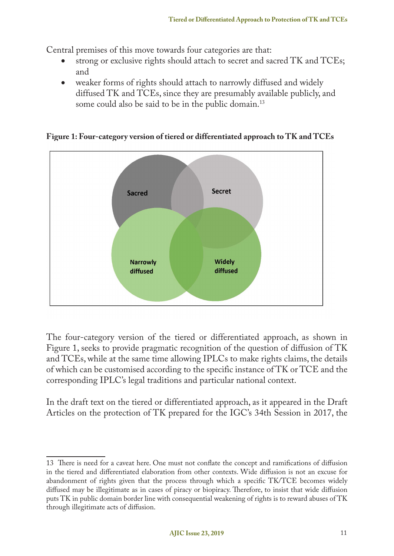Central premises of this move towards four categories are that:

- strong or exclusive rights should attach to secret and sacred TK and TCEs; and
- weaker forms of rights should attach to narrowly diffused and widely diffused TK and TCEs, since they are presumably available publicly, and some could also be said to be in the public domain.<sup>13</sup>



**Figure 1: Four-category version of tiered or differentiated approach to TK and TCEs**

The four-category version of the tiered or differentiated approach, as shown in Figure 1, seeks to provide pragmatic recognition of the question of diffusion of TK and TCEs, while at the same time allowing IPLCs to make rights claims, the details of which can be customised according to the specific instance of TK or TCE and the corresponding IPLC's legal traditions and particular national context.

In the draft text on the tiered or differentiated approach, as it appeared in the Draft Articles on the protection of TK prepared for the IGC's 34th Session in 2017, the

<sup>13</sup> There is need for a caveat here. One must not conflate the concept and ramifications of diffusion in the tiered and differentiated elaboration from other contexts. Wide diffusion is not an excuse for abandonment of rights given that the process through which a specific TK/TCE becomes widely diffused may be illegitimate as in cases of piracy or biopiracy. Therefore, to insist that wide diffusion puts TK in public domain border line with consequential weakening of rights is to reward abuses of TK through illegitimate acts of diffusion.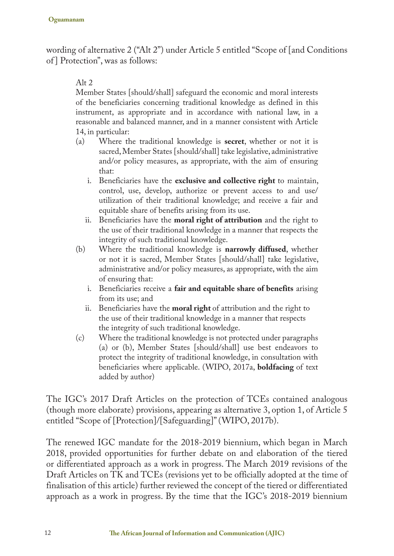wording of alternative 2 ("Alt 2") under Article 5 entitled "Scope of [and Conditions of ] Protection", was as follows:

#### Alt  $2$

Member States [should/shall] safeguard the economic and moral interests of the beneficiaries concerning traditional knowledge as defined in this instrument, as appropriate and in accordance with national law, in a reasonable and balanced manner, and in a manner consistent with Article

- 14, in particular:<br>(a) Where the (a) Where the traditional knowledge is **secret**, whether or not it is sacred, Member States [should/shall] take legislative, administrative and/or policy measures, as appropriate, with the aim of ensuring that:
	- i. Beneficiaries have the **exclusive and collective right** to maintain, control, use, develop, authorize or prevent access to and use/ utilization of their traditional knowledge; and receive a fair and equitable share of benefits arising from its use.
	- ii. Beneficiaries have the **moral right of attribution** and the right to the use of their traditional knowledge in a manner that respects the integrity of such traditional knowledge.
- (b) Where the traditional knowledge is **narrowly diffused**, whether or not it is sacred, Member States [should/shall] take legislative, administrative and/or policy measures, as appropriate, with the aim of ensuring that:
	- i. Beneficiaries receive a **fair and equitable share of benefits** arising from its use; and
	- ii. Beneficiaries have the **moral right** of attribution and the right to the use of their traditional knowledge in a manner that respects the integrity of such traditional knowledge.
- (c) Where the traditional knowledge is not protected under paragraphs (a) or (b), Member States [should/shall] use best endeavors to protect the integrity of traditional knowledge, in consultation with beneficiaries where applicable. (WIPO, 2017a, **boldfacing** of text added by author)

The IGC's 2017 Draft Articles on the protection of TCEs contained analogous (though more elaborate) provisions, appearing as alternative 3, option 1, of Article 5 entitled "Scope of [Protection]/[Safeguarding]" (WIPO, 2017b).

The renewed IGC mandate for the 2018-2019 biennium, which began in March 2018, provided opportunities for further debate on and elaboration of the tiered or differentiated approach as a work in progress. The March 2019 revisions of the Draft Articles on TK and TCEs (revisions yet to be officially adopted at the time of finalisation of this article) further reviewed the concept of the tiered or differentiated approach as a work in progress. By the time that the IGC's 2018-2019 biennium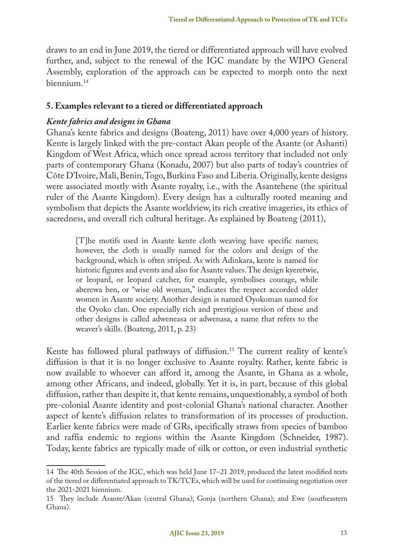draws to an end in June 2019, the tiered or differentiated approach will have evolved further, and, subject to the renewal of the IGC mandate by the WIPO General Assembly, exploration of the approach can be expected to morph onto the next biennium.14

#### **5. Examples relevant to a tiered or differentiated approach**

#### *Kente fabrics and designs in Ghana*

Ghana's kente fabrics and designs (Boateng, 2011) have over 4,000 years of history. Kente is largely linked with the pre-contact Akan people of the Asante (or Ashanti) Kingdom of West Africa, which once spread across territory that included not only parts of contemporary Ghana (Konadu, 2007) but also parts of today's countries of Côte D'Ivoire, Mali, Benin, Togo, Burkina Faso and Liberia. Originally, kente designs were associated mostly with Asante royalty, i.e., with the Asantehene (the spiritual ruler of the Asante Kingdom). Every design has a culturally rooted meaning and symbolism that depicts the Asante worldview, its rich creative imageries, its ethics of sacredness, and overall rich cultural heritage. As explained by Boateng (2011),

[T]he motifs used in Asante kente cloth weaving have specific names; however, the cloth is usually named for the colors and design of the background, which is often striped. As with Adinkara, kente is named for historic figures and events and also for Asante values. The design kyeretwie, or leopard, or leopard catcher, for example, symbolises courage, while aberewa ben, or "wise old woman," indicates the respect accorded older women in Asante society. Another design is named Oyokoman named for the Oyoko clan. One especially rich and prestigious version of these and other designs is called adweneasa or adwenasa, a name that refers to the weaver's skills. (Boateng, 2011, p. 23)

Kente has followed plural pathways of diffusion.<sup>15</sup> The current reality of kente's diffusion is that it is no longer exclusive to Asante royalty. Rather, kente fabric is now available to whoever can afford it, among the Asante, in Ghana as a whole, among other Africans, and indeed, globally. Yet it is, in part, because of this global diffusion, rather than despite it, that kente remains, unquestionably, a symbol of both pre-colonial Asante identity and post-colonial Ghana's national character. Another aspect of kente's diffusion relates to transformation of its processes of production. Earlier kente fabrics were made of GRs, specifically straws from species of bamboo and raffia endemic to regions within the Asante Kingdom (Schneider, 1987). Today, kente fabrics are typically made of silk or cotton, or even industrial synthetic

<sup>14</sup> The 40th Session of the IGC, which was held June 17–21 2019, produced the latest modified texts of the tiered or differentiated approach to TK/TCEs, which will be used for continuing negotiation over the 2021-2021 biennium.

<sup>15</sup> They include Asante/Akan (central Ghana); Gonja (northern Ghana); and Ewe (southeastern Ghana).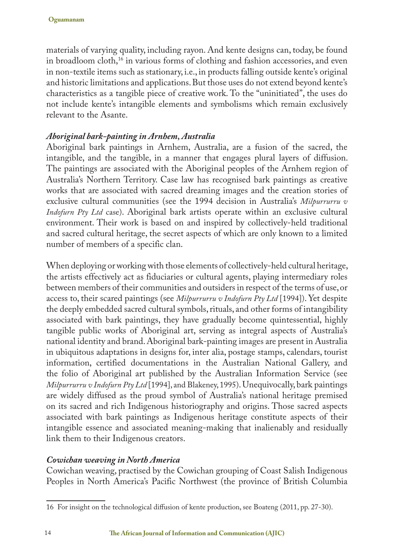materials of varying quality, including rayon. And kente designs can, today, be found in broadloom cloth,<sup>16</sup> in various forms of clothing and fashion accessories, and even in non-textile items such as stationary, i.e., in products falling outside kente's original and historic limitations and applications. But those uses do not extend beyond kente's characteristics as a tangible piece of creative work. To the "uninitiated", the uses do not include kente's intangible elements and symbolisms which remain exclusively relevant to the Asante.

#### *Aboriginal bark-painting in Arnhem, Australia*

Aboriginal bark paintings in Arnhem, Australia, are a fusion of the sacred, the intangible, and the tangible, in a manner that engages plural layers of diffusion. The paintings are associated with the Aboriginal peoples of the Arnhem region of Australia's Northern Territory. Case law has recognised bark paintings as creative works that are associated with sacred dreaming images and the creation stories of exclusive cultural communities (see the 1994 decision in Australia's *Milpurrurru v Indofurn Pty Ltd* case). Aboriginal bark artists operate within an exclusive cultural environment. Their work is based on and inspired by collectively-held traditional and sacred cultural heritage, the secret aspects of which are only known to a limited number of members of a specific clan.

When deploying or working with those elements of collectively-held cultural heritage, the artists effectively act as fiduciaries or cultural agents, playing intermediary roles between members of their communities and outsiders in respect of the terms of use, or access to, their scared paintings (see *Milpurrurru v Indofurn Pty Ltd* [1994]). Yet despite the deeply embedded sacred cultural symbols, rituals, and other forms of intangibility associated with bark paintings, they have gradually become quintessential, highly tangible public works of Aboriginal art, serving as integral aspects of Australia's national identity and brand. Aboriginal bark-painting images are present in Australia in ubiquitous adaptations in designs for, inter alia, postage stamps, calendars, tourist information, certified documentations in the Australian National Gallery, and the folio of Aboriginal art published by the Australian Information Service (see *Milpurrurru v Indofurn Pty Ltd* [1994], and Blakeney, 1995). Unequivocally, bark paintings are widely diffused as the proud symbol of Australia's national heritage premised on its sacred and rich Indigenous historiography and origins. Those sacred aspects associated with bark paintings as Indigenous heritage constitute aspects of their intangible essence and associated meaning-making that inalienably and residually link them to their Indigenous creators.

### *Cowichan weaving in North America*

Cowichan weaving, practised by the Cowichan grouping of Coast Salish Indigenous Peoples in North America's Pacific Northwest (the province of British Columbia

<sup>16</sup> For insight on the technological diffusion of kente production, see Boateng (2011, pp. 27-30).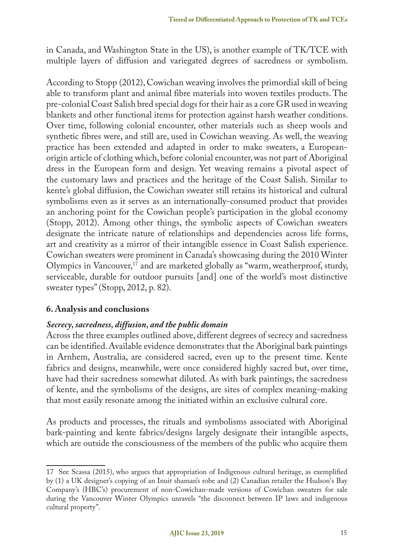in Canada, and Washington State in the US), is another example of TK/TCE with multiple layers of diffusion and variegated degrees of sacredness or symbolism.

According to Stopp (2012), Cowichan weaving involves the primordial skill of being able to transform plant and animal fibre materials into woven textiles products. The pre-colonial Coast Salish bred special dogs for their hair as a core GR used in weaving blankets and other functional items for protection against harsh weather conditions. Over time, following colonial encounter, other materials such as sheep wools and synthetic fibres were, and still are, used in Cowichan weaving. As well, the weaving practice has been extended and adapted in order to make sweaters, a Europeanorigin article of clothing which, before colonial encounter, was not part of Aboriginal dress in the European form and design. Yet weaving remains a pivotal aspect of the customary laws and practices and the heritage of the Coast Salish. Similar to kente's global diffusion, the Cowichan sweater still retains its historical and cultural symbolisms even as it serves as an internationally-consumed product that provides an anchoring point for the Cowichan people's participation in the global economy (Stopp, 2012). Among other things, the symbolic aspects of Cowichan sweaters designate the intricate nature of relationships and dependencies across life forms, art and creativity as a mirror of their intangible essence in Coast Salish experience. Cowichan sweaters were prominent in Canada's showcasing during the 2010 Winter Olympics in Vancouver,<sup>17</sup> and are marketed globally as "warm, weatherproof, sturdy, serviceable, durable for outdoor pursuits [and] one of the world's most distinctive sweater types" (Stopp, 2012, p. 82).

#### **6. Analysis and conclusions**

#### *Secrecy, sacredness, diffusion, and the public domain*

Across the three examples outlined above, different degrees of secrecy and sacredness can be identified. Available evidence demonstrates that the Aboriginal bark paintings in Arnhem, Australia, are considered sacred, even up to the present time. Kente fabrics and designs, meanwhile, were once considered highly sacred but, over time, have had their sacredness somewhat diluted. As with bark paintings, the sacredness of kente, and the symbolisms of the designs, are sites of complex meaning-making that most easily resonate among the initiated within an exclusive cultural core.

As products and processes, the rituals and symbolisms associated with Aboriginal bark-painting and kente fabrics/designs largely designate their intangible aspects, which are outside the consciousness of the members of the public who acquire them

<sup>17</sup> See Scassa (2015), who argues that appropriation of Indigenous cultural heritage, as exemplified by (1) a UK designer's copying of an Inuit shaman's robe and (2) Canadian retailer the Hudson's Bay Company's (HBC's) procurement of non-Cowichan-made versions of Cowichan sweaters for sale during the Vancouver Winter Olympics unravels "the disconnect between IP laws and indigenous cultural property".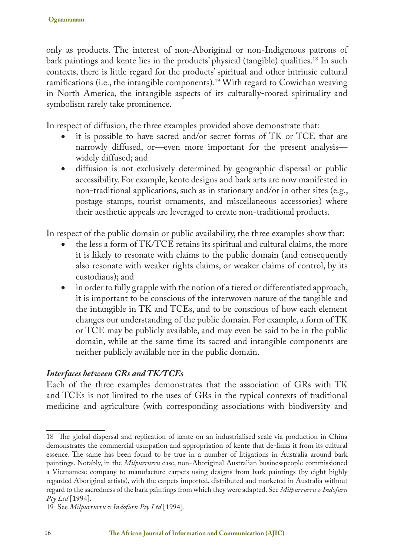only as products. The interest of non-Aboriginal or non-Indigenous patrons of bark paintings and kente lies in the products' physical (tangible) qualities.<sup>18</sup> In such contexts, there is little regard for the products' spiritual and other intrinsic cultural ramifications (i.e., the intangible components).19 With regard to Cowichan weaving in North America, the intangible aspects of its culturally-rooted spirituality and symbolism rarely take prominence.

In respect of diffusion, the three examples provided above demonstrate that:

- it is possible to have sacred and/or secret forms of TK or TCE that are narrowly diffused, or—even more important for the present analysis widely diffused; and
- diffusion is not exclusively determined by geographic dispersal or public accessibility. For example, kente designs and bark arts are now manifested in non-traditional applications, such as in stationary and/or in other sites (e.g., postage stamps, tourist ornaments, and miscellaneous accessories) where their aesthetic appeals are leveraged to create non-traditional products.

In respect of the public domain or public availability, the three examples show that:

- the less a form of TK/TCE retains its spiritual and cultural claims, the more it is likely to resonate with claims to the public domain (and consequently also resonate with weaker rights claims, or weaker claims of control, by its custodians); and
- in order to fully grapple with the notion of a tiered or differentiated approach, it is important to be conscious of the interwoven nature of the tangible and the intangible in TK and TCEs, and to be conscious of how each element changes our understanding of the public domain. For example, a form of TK or TCE may be publicly available, and may even be said to be in the public domain, while at the same time its sacred and intangible components are neither publicly available nor in the public domain.

### *Interfaces between GRs and TK/TCEs*

Each of the three examples demonstrates that the association of GRs with TK and TCEs is not limited to the uses of GRs in the typical contexts of traditional medicine and agriculture (with corresponding associations with biodiversity and

<sup>18</sup> The global dispersal and replication of kente on an industrialised scale via production in China demonstrates the commercial usurpation and appropriation of kente that de-links it from its cultural essence. The same has been found to be true in a number of litigations in Australia around bark paintings. Notably, in the *Milpurrurru* case, non-Aboriginal Australian businesspeople commissioned a Vietnamese company to manufacture carpets using designs from bark paintings (by eight highly regarded Aboriginal artists), with the carpets imported, distributed and marketed in Australia without regard to the sacredness of the bark paintings from which they were adapted. See *Milpurrurru v Indofurn Pty Ltd* [1994].

<sup>19</sup> See *Milpurrurru v Indofurn Pty Ltd* [1994].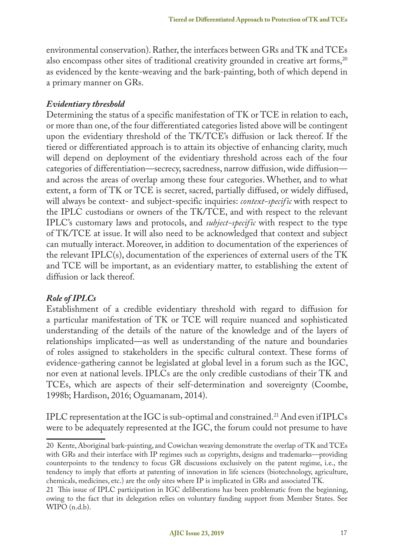environmental conservation). Rather, the interfaces between GRs and TK and TCEs also encompass other sites of traditional creativity grounded in creative art forms,<sup>20</sup> as evidenced by the kente-weaving and the bark-painting, both of which depend in a primary manner on GRs.

#### *Evidentiary threshold*

Determining the status of a specific manifestation of TK or TCE in relation to each, or more than one, of the four differentiated categories listed above will be contingent upon the evidentiary threshold of the TK/TCE's diffusion or lack thereof. If the tiered or differentiated approach is to attain its objective of enhancing clarity, much will depend on deployment of the evidentiary threshold across each of the four categories of differentiation—secrecy, sacredness, narrow diffusion, wide diffusion and across the areas of overlap among these four categories. Whether, and to what extent, a form of TK or TCE is secret, sacred, partially diffused, or widely diffused, will always be context- and subject-specific inquiries: *context-specific* with respect to the IPLC custodians or owners of the TK/TCE, and with respect to the relevant IPLC's customary laws and protocols, and *subject-specific* with respect to the type of TK/TCE at issue. It will also need to be acknowledged that context and subject can mutually interact. Moreover, in addition to documentation of the experiences of the relevant IPLC(s), documentation of the experiences of external users of the TK and TCE will be important, as an evidentiary matter, to establishing the extent of diffusion or lack thereof.

### *Role of IPLCs*

Establishment of a credible evidentiary threshold with regard to diffusion for a particular manifestation of TK or TCE will require nuanced and sophisticated understanding of the details of the nature of the knowledge and of the layers of relationships implicated—as well as understanding of the nature and boundaries of roles assigned to stakeholders in the specific cultural context. These forms of evidence-gathering cannot be legislated at global level in a forum such as the IGC, nor even at national levels. IPLCs are the only credible custodians of their TK and TCEs, which are aspects of their self-determination and sovereignty (Coombe, 1998b; Hardison, 2016; Oguamanam, 2014).

IPLC representation at the IGC is sub-optimal and constrained.21 And even if IPLCs were to be adequately represented at the IGC, the forum could not presume to have

<sup>20</sup> Kente, Aboriginal bark-painting, and Cowichan weaving demonstrate the overlap of TK and TCEs with GRs and their interface with IP regimes such as copyrights, designs and trademarks—providing counterpoints to the tendency to focus GR discussions exclusively on the patent regime, i.e., the tendency to imply that efforts at patenting of innovation in life sciences (biotechnology, agriculture, chemicals, medicines, etc.) are the only sites where IP is implicated in GRs and associated TK.

<sup>21</sup> This issue of IPLC participation in IGC deliberations has been problematic from the beginning, owing to the fact that its delegation relies on voluntary funding support from Member States. See WIPO (n.d.b).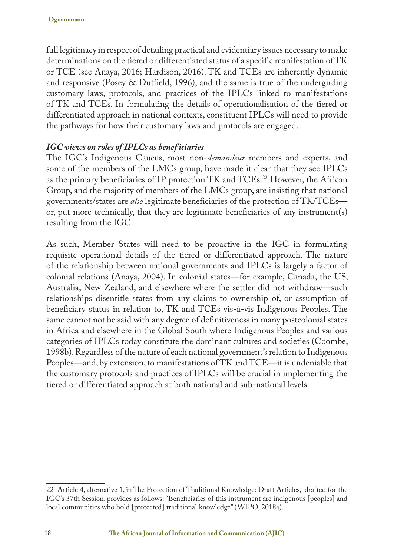full legitimacy in respect of detailing practical and evidentiary issues necessary to make determinations on the tiered or differentiated status of a specific manifestation of TK or TCE (see Anaya, 2016; Hardison, 2016). TK and TCEs are inherently dynamic and responsive (Posey & Dutfield, 1996), and the same is true of the undergirding customary laws, protocols, and practices of the IPLCs linked to manifestations of TK and TCEs. In formulating the details of operationalisation of the tiered or differentiated approach in national contexts, constituent IPLCs will need to provide the pathways for how their customary laws and protocols are engaged.

#### *IGC views on roles of IPLCs as benef iciaries*

The IGC's Indigenous Caucus, most non-*demandeur* members and experts, and some of the members of the LMCs group, have made it clear that they see IPLCs as the primary beneficiaries of IP protection TK and TCEs.22 However, the African Group, and the majority of members of the LMCs group, are insisting that national governments/states are *also* legitimate beneficiaries of the protection of TK/TCEs or, put more technically, that they are legitimate beneficiaries of any instrument(s) resulting from the IGC.

As such, Member States will need to be proactive in the IGC in formulating requisite operational details of the tiered or differentiated approach. The nature of the relationship between national governments and IPLCs is largely a factor of colonial relations (Anaya, 2004). In colonial states—for example, Canada, the US, Australia, New Zealand, and elsewhere where the settler did not withdraw—such relationships disentitle states from any claims to ownership of, or assumption of beneficiary status in relation to, TK and TCEs vis-à-vis Indigenous Peoples. The same cannot not be said with any degree of definitiveness in many postcolonial states in Africa and elsewhere in the Global South where Indigenous Peoples and various categories of IPLCs today constitute the dominant cultures and societies (Coombe, 1998b). Regardless of the nature of each national government's relation to Indigenous Peoples—and, by extension, to manifestations of TK and TCE—it is undeniable that the customary protocols and practices of IPLCs will be crucial in implementing the tiered or differentiated approach at both national and sub-national levels.

<sup>22</sup> Article 4, alternative 1, in The Protection of Traditional Knowledge: Draft Articles, drafted for the IGC's 37th Session, provides as follows: "Beneficiaries of this instrument are indigenous [peoples] and local communities who hold [protected] traditional knowledge" (WIPO, 2018a).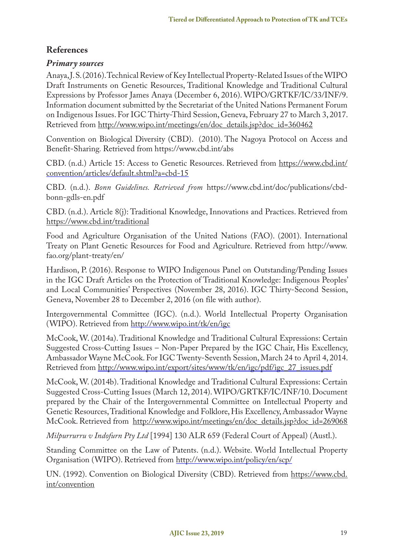## **References**

#### *Primary sources*

Anaya, J. S. (2016). Technical Review of Key Intellectual Property-Related Issues of the WIPO Draft Instruments on Genetic Resources, Traditional Knowledge and Traditional Cultural Expressions by Professor James Anaya (December 6, 2016). WIPO/GRTKF/IC/33/INF/9. Information document submitted by the Secretariat of the United Nations Permanent Forum on Indigenous Issues. For IGC Thirty-Third Session, Geneva, February 27 to March 3, 2017. Retrieved from http://www.wipo.int/meetings/en/doc\_details.jsp?doc\_id=360462

Convention on Biological Diversity (CBD). (2010). The Nagoya Protocol on Access and Benefit-Sharing*.* Retrieved from https://www.cbd.int/abs

CBD. (n.d.) Article 15: Access to Genetic Resources. Retrieved from https://www.cbd.int/ convention/articles/default.shtml?a=cbd-15

CBD. (n.d.). *Bonn Guidelines. Retrieved from* https://www.cbd.int/doc/publications/cbdbonn-gdls-en.pdf

CBD. (n.d.). Article 8(j): Traditional Knowledge, Innovations and Practices. Retrieved from https://www.cbd.int/traditional

Food and Agriculture Organisation of the United Nations (FAO). (2001). International Treaty on Plant Genetic Resources for Food and Agriculture. Retrieved from http://www. fao.org/plant-treaty/en/

Hardison, P. (2016). Response to WIPO Indigenous Panel on Outstanding/Pending Issues in the IGC Draft Articles on the Protection of Traditional Knowledge: Indigenous Peoples' and Local Communities' Perspectives (November 28, 2016). IGC Thirty-Second Session, Geneva, November 28 to December 2, 2016 (on file with author).

Intergovernmental Committee (IGC). (n.d.). World Intellectual Property Organisation (WIPO). Retrieved from http://www.wipo.int/tk/en/igc

McCook, W. (2014a). Traditional Knowledge and Traditional Cultural Expressions: Certain Suggested Cross-Cutting Issues – Non-Paper Prepared by the IGC Chair, His Excellency, Ambassador Wayne McCook. For IGC Twenty-Seventh Session, March 24 to April 4, 2014. Retrieved from http://www.wipo.int/export/sites/www/tk/en/igc/pdf/igc\_27\_issues.pdf

McCook, W. (2014b). Traditional Knowledge and Traditional Cultural Expressions: Certain Suggested Cross-Cutting Issues (March 12, 2014). WIPO/GRTKF/IC/INF/10. Document prepared by the Chair of the Intergovernmental Committee on Intellectual Property and Genetic Resources, Traditional Knowledge and Folklore, His Excellency, Ambassador Wayne McCook. Retrieved from http://www.wipo.int/meetings/en/doc\_details.jsp?doc\_id=269068

*Milpurrurru v Indofurn Pty Ltd* [1994] 130 ALR 659 (Federal Court of Appeal) (Austl.).

Standing Committee on the Law of Patents. (n.d.). Website. World Intellectual Property Organisation (WIPO). Retrieved from http://www.wipo.int/policy/en/scp/

UN. (1992). Convention on Biological Diversity (CBD). Retrieved from https://www.cbd. int/convention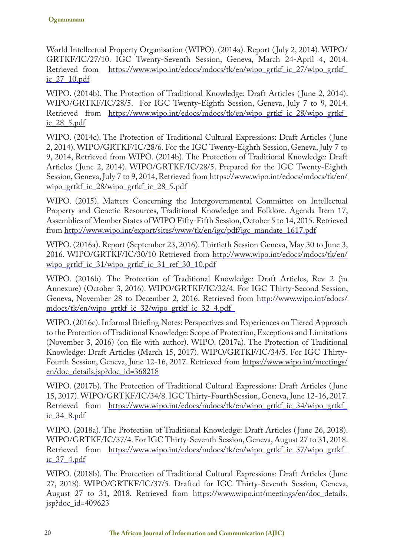World Intellectual Property Organisation (WIPO). (2014a). Report ( July 2, 2014). WIPO/ GRTKF/IC/27/10. IGC Twenty-Seventh Session, Geneva, March 24-April 4, 2014.<br>Retrieved from https://www.wipo.int/edocs/mdocs/tk/en/wipo grtkf ic 27/wipo grtkf https://www.wipo.int/edocs/mdocs/tk/en/wipo\_grtkf\_ic\_27/wipo\_grtkf\_ ic\_27\_10.pdf

WIPO. (2014b). The Protection of Traditional Knowledge: Draft Articles ( June 2, 2014). WIPO/GRTKF/IC/28/5. For IGC Twenty-Eighth Session, Geneva, July 7 to 9, 2014. Retrieved from https://www.wipo.int/edocs/mdocs/tk/en/wipo\_grtkf\_ic\_28/wipo\_grtkf ic\_28\_5.pdf

WIPO. (2014c). The Protection of Traditional Cultural Expressions: Draft Articles ( June 2, 2014). WIPO/GRTKF/IC/28/6. For the IGC Twenty-Eighth Session, Geneva, July 7 to 9, 2014, Retrieved from WIPO. (2014b). The Protection of Traditional Knowledge: Draft Articles ( June 2, 2014). WIPO/GRTKF/IC/28/5. Prepared for the IGC Twenty-Eighth Session, Geneva, July 7 to 9, 2014, Retrieved from https://www.wipo.int/edocs/mdocs/tk/en/ wipo\_grtkf\_ic\_28/wipo\_grtkf\_ic\_28\_5.pdf

WIPO. (2015). Matters Concerning the Intergovernmental Committee on Intellectual Property and Genetic Resources, Traditional Knowledge and Folklore. Agenda Item 17, Assemblies of Member States of WIPO Fifty-Fifth Session, October 5 to 14, 2015. Retrieved from http://www.wipo.int/export/sites/www/tk/en/igc/pdf/igc\_mandate\_1617.pdf

WIPO. (2016a). Report (September 23, 2016). Thirtieth Session Geneva, May 30 to June 3, 2016. WIPO/GRTKF/IC/30/10 Retrieved from http://www.wipo.int/edocs/mdocs/tk/en/ wipo\_grtkf\_ic\_31/wipo\_grtkf\_ic\_31\_ref\_30\_10.pdf

WIPO. (2016b). The Protection of Traditional Knowledge: Draft Articles, Rev. 2 (in Annexure) (October 3, 2016). WIPO/GRTKF/IC/32/4. For IGC Thirty-Second Session, Geneva, November 28 to December 2, 2016. Retrieved from http://www.wipo.int/edocs/ mdocs/tk/en/wipo\_grtkf\_ic\_32/wipo\_grtkf\_ic\_32\_4.pdf

WIPO. (2016c). Informal Briefing Notes: Perspectives and Experiences on Tiered Approach to the Protection of Traditional Knowledge: Scope of Protection, Exceptions and Limitations (November 3, 2016) (on file with author). WIPO. (2017a). The Protection of Traditional Knowledge: Draft Articles (March 15, 2017). WIPO/GRTKF/IC/34/5. For IGC Thirty-Fourth Session, Geneva, June 12-16, 2017. Retrieved from https://www.wipo.int/meetings/ en/doc\_details.jsp?doc\_id=368218

WIPO. (2017b). The Protection of Traditional Cultural Expressions: Draft Articles ( June 15, 2017). WIPO/GRTKF/IC/34/8. IGC Thirty-FourthSession, Geneva, June 12-16, 2017. Retrieved from https://www.wipo.int/edocs/mdocs/tk/en/wipo\_grtkf\_ic\_34/wipo\_grtkf\_ ic\_34\_8.pdf

WIPO. (2018a). The Protection of Traditional Knowledge: Draft Articles ( June 26, 2018). WIPO/GRTKF/IC/37/4. For IGC Thirty-Seventh Session, Geneva, August 27 to 31, 2018. Retrieved from https://www.wipo.int/edocs/mdocs/tk/en/wipo\_grtkf\_ic\_37/wipo\_grtkf\_ ic\_37\_4.pdf

WIPO. (2018b). The Protection of Traditional Cultural Expressions: Draft Articles ( June 27, 2018). WIPO/GRTKF/IC/37/5. Drafted for IGC Thirty-Seventh Session, Geneva, August 27 to 31, 2018. Retrieved from https://www.wipo.int/meetings/en/doc\_details. jsp?doc\_id=409623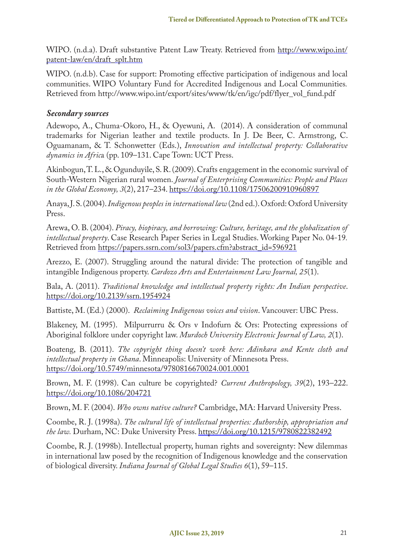WIPO. (n.d.a). Draft substantive Patent Law Treaty. Retrieved from http://www.wipo.int/ patent-law/en/draft\_splt.htm

WIPO. (n.d.b). Case for support: Promoting effective participation of indigenous and local communities. WIPO Voluntary Fund for Accredited Indigenous and Local Communities*.* Retrieved from http://www.wipo.int/export/sites/www/tk/en/igc/pdf/flyer\_vol\_fund.pdf

#### *Secondary sources*

Adewopo, A., Chuma-Okoro, H., & Oyewuni, A. (2014). A consideration of communal trademarks for Nigerian leather and textile products. In J. De Beer, C. Armstrong, C. Oguamanam, & T. Schonwetter (Eds.), *Innovation and intellectual property: Collaborative dynamics in Afric*a (pp. 109–131. Cape Town: UCT Press.

Akinbogun, T. L., & Ogunduyile, S. R. (2009). Crafts engagement in the economic survival of South-Western Nigerian rural women. *Journal of Enterprising Communities: People and Places in the Global Economy, 3*(2), 217–234. https://doi.org/10.1108/17506200910960897

Anaya, J. S. (2004). *Indigenous peoples in international law* (2nd ed.). Oxford: Oxford University Press.

Arewa, O. B. (2004). *Piracy, biopiracy, and borrowing: Culture, heritage, and the globalization of intellectual property*. Case Research Paper Series in Legal Studies. Working Paper No. 04-19*.*  Retrieved from https://papers.ssrn.com/sol3/papers.cfm?abstract\_id=596921

Arezzo, E. (2007). Struggling around the natural divide: The protection of tangible and intangible Indigenous property. *Cardozo Arts and Entertainment Law Journal, 25*(1).

Bala, A. (2011). *Traditional knowledge and intellectual property rights: An Indian perspective*. https://doi.org/10.2139/ssrn.1954924

Battiste, M. (Ed.) (2000). *Reclaiming Indigenous voices and vision*. Vancouver: UBC Press.

Blakeney, M. (1995). Milpurrurru & Ors v Indofurn & Ors: Protecting expressions of Aboriginal folklore under copyright law. *Murdoch University Electronic Journal of Law, 2*(1).

Boateng, B. (2011). *The copyright thing doesn't work here: Adinkara and Kente cloth and intellectual property in Ghana*. Minneapolis: University of Minnesota Press. https://doi.org/10.5749/minnesota/9780816670024.001.0001

Brown, M. F. (1998). Can culture be copyrighted? *Current Anthropology, 39*(2), 193–222. https://doi.org/10.1086/204721

Brown, M. F. (2004). *Who owns native culture?* Cambridge, MA: Harvard University Press.

Coombe, R. J. (1998a). *The cultural life of intellectual properties: Authorship, appropriation and the law.* Durham, NC: Duke University Press. https://doi.org/10.1215/9780822382492

Coombe, R. J. (1998b). Intellectual property, human rights and sovereignty: New dilemmas in international law posed by the recognition of Indigenous knowledge and the conservation of biological diversity. *Indiana Journal of Global Legal Studies 6*(1), 59–115.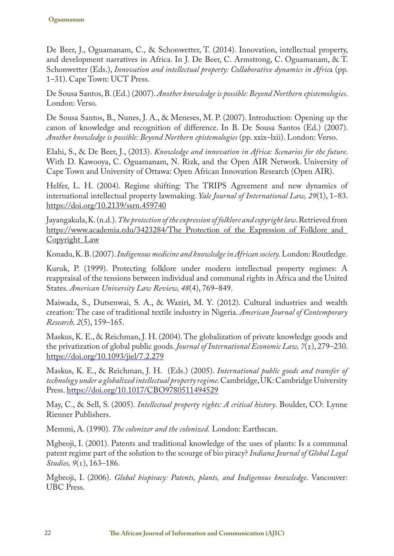De Beer, J., Oguamanam, C., & Schonwetter, T. (2014). Innovation, intellectual property, and development narratives in Africa. In J. De Beer, C. Armstrong, C. Oguamanam, & T. Schonwetter (Eds.), *Innovation and intellectual property: Collaborative dynamics in Afric*a (pp. 1–31). Cape Town: UCT Press.

De Sousa Santos, B. (Ed.) (2007). *Another knowledge is possible: Beyond Northern epistemologies*. London: Verso.

De Sousa Santos, B., Nunes, J. A., & Meneses, M. P. (2007). Introduction: Opening up the canon of knowledge and recognition of difference. In B. De Sousa Santos (Ed.) (2007). *Another knowledge is possible: Beyond Northern epistemologies* (pp. xxix–lxii). London: Verso.

Elahi, S., & De Beer, J., (2013). *Knowledge and innovation in Africa: Scenarios for the future*. With D. Kawooya, C. Oguamanam, N. Rizk, and the Open AIR Network. University of Cape Town and University of Ottawa: Open African Innovation Research (Open AIR).

Helfer, L. H. (2004). Regime shifting: The TRIPS Agreement and new dynamics of international intellectual property lawmaking. *Yale Journal of International Law, 29*(1), 1–83. https://doi.org/10.2139/ssrn.459740

Jayangakula, K. (n.d.). *The protection of the expression of folklore and copyright law*. Retrieved from https://www.academia.edu/3423284/The\_Protection\_of\_the\_Expression\_of\_Folklore\_and\_ Copyright\_Law

Konadu, K. B. (2007). *Indigenous medicine and knowledge in African society.* London: Routledge.

Kuruk, P. (1999). Protecting folklore under modern intellectual property regimes: A reappraisal of the tensions between individual and communal rights in Africa and the United States. *American University Law Review, 48*(4), 769–849.

Maiwada, S., Dutsenwai, S. A., & Waziri, M. Y. (2012). Cultural industries and wealth creation: The case of traditional textile industry in Nigeria. *American Journal of Contemporary Research, 2*(5), 159–165.

Maskus, K. E., & Reichman, J. H. (2004). The globalization of private knowledge goods and the privatization of global public goods. *Journal of International Economic Law, 7*(2), 279–230. https://doi.org/10.1093/jiel/7.2.279

Maskus, K. E., & Reichman, J. H. (Eds.) (2005). *International public goods and transfer of technology under a globalized intellectual property regime*. Cambridge, UK: Cambridge University Press. https://doi.org/10.1017/CBO9780511494529

May, C., & Sell, S. (2005). *Intellectual property rights: A critical history*. Boulder, CO: Lynne Rienner Publishers.

Memmi, A. (1990). *The colonizer and the colonized.* London: Earthscan.

Mgbeoji, I. (2001). Patents and traditional knowledge of the uses of plants: Is a communal patent regime part of the solution to the scourge of bio piracy? *Indiana Journal of Global Legal Studies, 9*(1), 163–186.

Mgbeoji, I. (2006). *Global biopiracy: Patents, plants, and Indigenous knowledge*. Vancouver: UBC Press.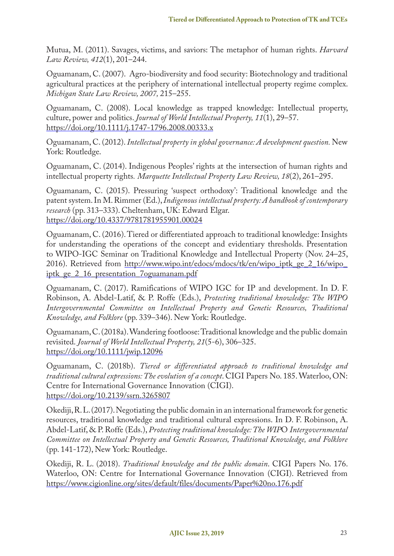Mutua, M. (2011). Savages, victims, and saviors: The metaphor of human rights. *Harvard Law Review, 412*(1), 201–244.

Oguamanam, C. (2007). Agro-biodiversity and food security: Biotechnology and traditional agricultural practices at the periphery of international intellectual property regime complex. *Michigan State Law Review, 2007,* 215–255.

Oguamanam, C. (2008). Local knowledge as trapped knowledge: Intellectual property, culture, power and politics. *Journal of World Intellectual Property, 11*(1), 29–57. https://doi.org/10.1111/j.1747-1796.2008.00333.x

Oguamanam, C. (2012). *Intellectual property in global governance: A development question.* New York: Routledge.

Oguamanam, C. (2014). Indigenous Peoples' rights at the intersection of human rights and intellectual property rights*. Marquette Intellectual Property Law Review, 18*(2), 261–295.

Oguamanam, C. (2015). Pressuring 'suspect orthodoxy': Traditional knowledge and the patent system. In M. Rimmer (Ed.), *Indigenous intellectual property: A handbook of contemporary research* (pp. 313–333). Cheltenham, UK: Edward Elgar. https://doi.org/10.4337/9781781955901.00024

Oguamanam, C. (2016). Tiered or differentiated approach to traditional knowledge: Insights for understanding the operations of the concept and evidentiary thresholds. Presentation to WIPO-IGC Seminar on Traditional Knowledge and Intellectual Property (Nov. 24–25, 2016). Retrieved from http://www.wipo.int/edocs/mdocs/tk/en/wipo\_iptk\_ge\_2\_16/wipo\_ iptk\_ge\_2\_16\_presentation\_7oguamanam.pdf

Oguamanam, C. (2017). Ramifications of WIPO IGC for IP and development. In D. F. Robinson, A. Abdel-Latif, & P. Roffe (Eds.), *Protecting traditional knowledge: The WIPO Intergovernmental Committee on Intellectual Property and Genetic Resources, Traditional Knowledge, and Folklore* (pp. 339–346). New York: Routledge.

Oguamanam, C. (2018a). Wandering footloose: Traditional knowledge and the public domain revisited. *Journal of World Intellectual Property, 21*(5-6), 306–325. https://doi.org/10.1111/jwip.12096

Oguamanam, C. (2018b). *Tiered or differentiated approach to traditional knowledge and traditional cultural expressions: The evolution of a concept*. CIGI Papers No. 185. Waterloo, ON: Centre for International Governance Innovation (CIGI). https://doi.org/10.2139/ssrn.3265807

Okediji, R. L. (2017). Negotiating the public domain in an international framework for genetic resources, traditional knowledge and traditional cultural expressions. In D. F. Robinson, A. Abdel-Latif, & P. Roffe (Eds.), *Protecting traditional knowledge: The WIP*O *Intergovernmental Committee on Intellectual Property and Genetic Resources, Traditional Knowledge, and Folklore* (pp. 141-172), New York: Routledge.

Okediji, R. L. (2018). *Traditional knowledge and the public domain*. CIGI Papers No. 176. Waterloo, ON: Centre for International Governance Innovation (CIGI). Retrieved from https://www.cigionline.org/sites/default/files/documents/Paper%20no.176.pdf